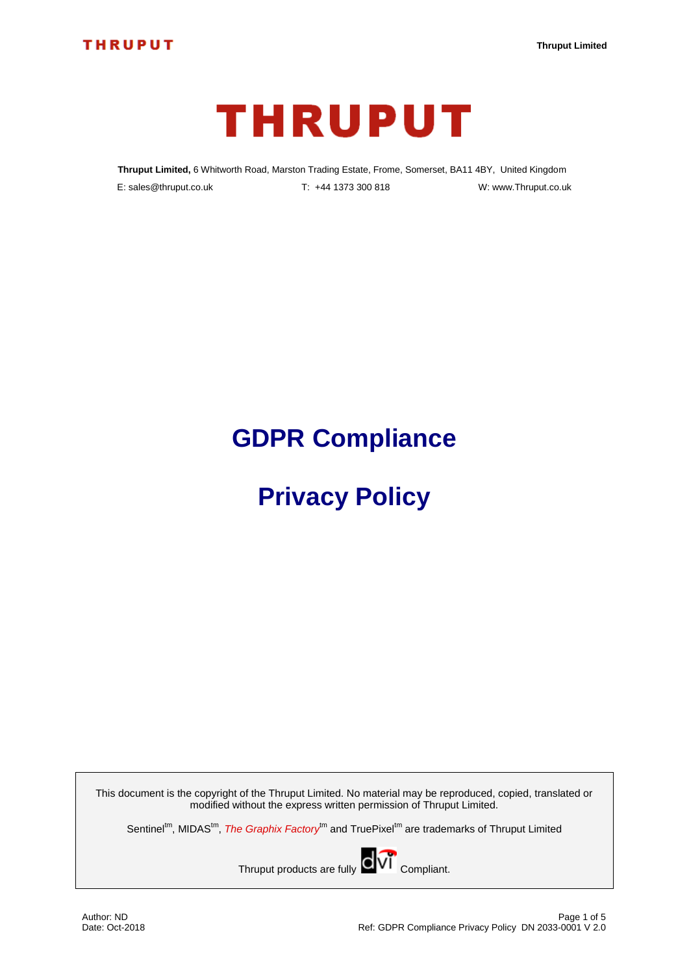

**Thruput Limited,** 6 Whitworth Road, Marston Trading Estate, Frome, Somerset, BA11 4BY, United Kingdom E: sales@thruput.co.uk T: +44 1373 300 818 W: www.Thruput.co.uk

# **GDPR Compliance**

# **Privacy Policy**

This document is the copyright of the Thruput Limited. No material may be reproduced, copied, translated or modified without the express written permission of Thruput Limited.

Sentinel<sup>tm</sup>, MIDAS<sup>tm</sup>, The Graphix Factory<sup>tm</sup> and TruePixel<sup>tm</sup> are trademarks of Thruput Limited

Thruput products are fully  $\overline{CV}$  Compliant.

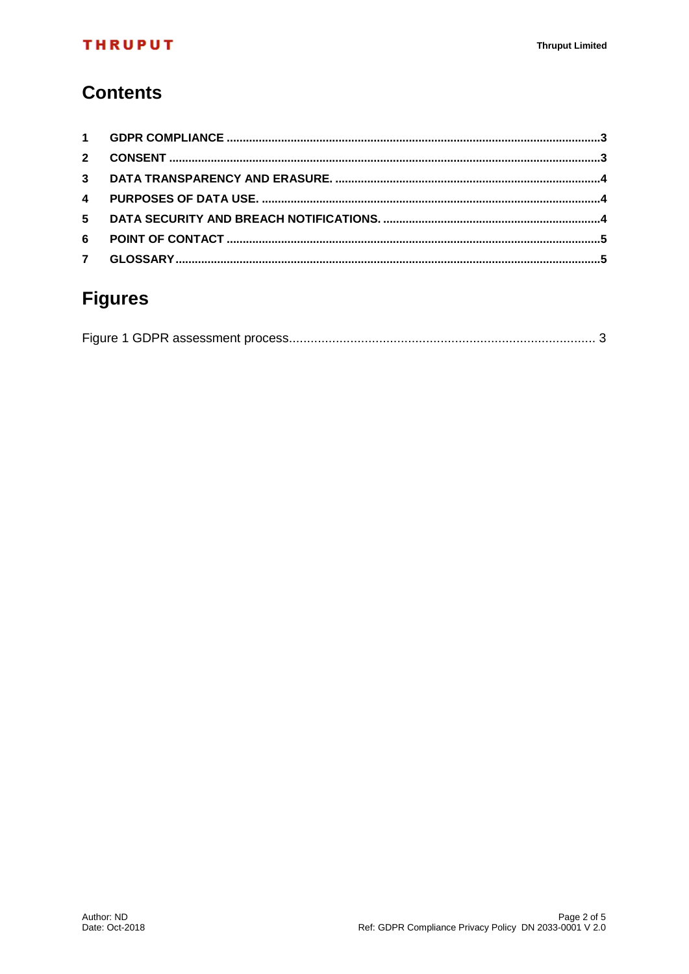#### **THRUPUT**

## **Contents**

| $\overline{2}$ |  |
|----------------|--|
|                |  |
| $\mathbf{4}$   |  |
| 5 <sup>1</sup> |  |
| 6              |  |
| $7^{\circ}$    |  |

# **Figures**

|--|--|--|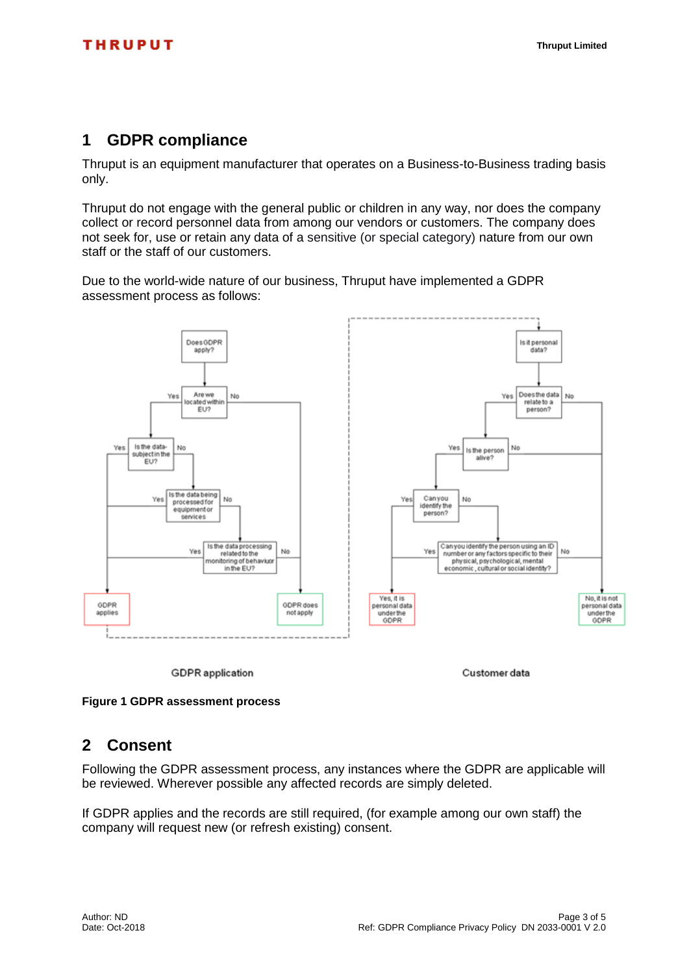#### <span id="page-2-0"></span>**1 GDPR compliance**

Thruput is an equipment manufacturer that operates on a Business-to-Business trading basis only.

Thruput do not engage with the general public or children in any way, nor does the company collect or record personnel data from among our vendors or customers. The company does not seek for, use or retain any data of a sensitive (or special category) nature from our own staff or the staff of our customers.

Due to the world-wide nature of our business, Thruput have implemented a GDPR assessment process as follows:



<span id="page-2-2"></span><span id="page-2-1"></span>**Figure 1 GDPR assessment process**

#### **2 Consent**

Following the GDPR assessment process, any instances where the GDPR are applicable will be reviewed. Wherever possible any affected records are simply deleted.

If GDPR applies and the records are still required, (for example among our own staff) the company will request new (or refresh existing) consent.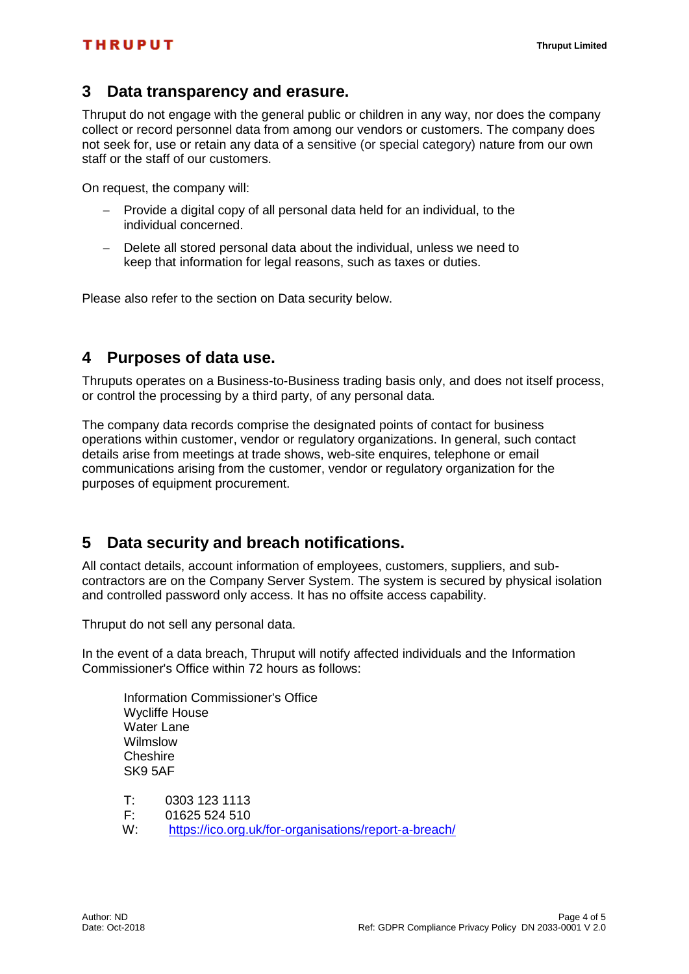#### <span id="page-3-0"></span>**3 Data transparency and erasure.**

Thruput do not engage with the general public or children in any way, nor does the company collect or record personnel data from among our vendors or customers. The company does not seek for, use or retain any data of a sensitive (or special category) nature from our own staff or the staff of our customers.

On request, the company will:

- Provide a digital copy of all personal data held for an individual, to the individual concerned.
- Delete all stored personal data about the individual, unless we need to keep that information for legal reasons, such as taxes or duties.

Please also refer to the section on Data security below.

#### <span id="page-3-1"></span>**4 Purposes of data use.**

Thruputs operates on a Business-to-Business trading basis only, and does not itself process, or control the processing by a third party, of any personal data.

The company data records comprise the designated points of contact for business operations within customer, vendor or regulatory organizations. In general, such contact details arise from meetings at trade shows, web-site enquires, telephone or email communications arising from the customer, vendor or regulatory organization for the purposes of equipment procurement.

#### <span id="page-3-2"></span>**5 Data security and breach notifications.**

All contact details, account information of employees, customers, suppliers, and subcontractors are on the Company Server System. The system is secured by physical isolation and controlled password only access. It has no offsite access capability.

Thruput do not sell any personal data.

In the event of a data breach, Thruput will notify affected individuals and the Information Commissioner's Office within 72 hours as follows:

Information Commissioner's Office Wycliffe House Water Lane Wilmslow Cheshire SK9 5AF

T: 0303 123 1113

F: 01625 524 510

W: <https://ico.org.uk/for-organisations/report-a-breach/>